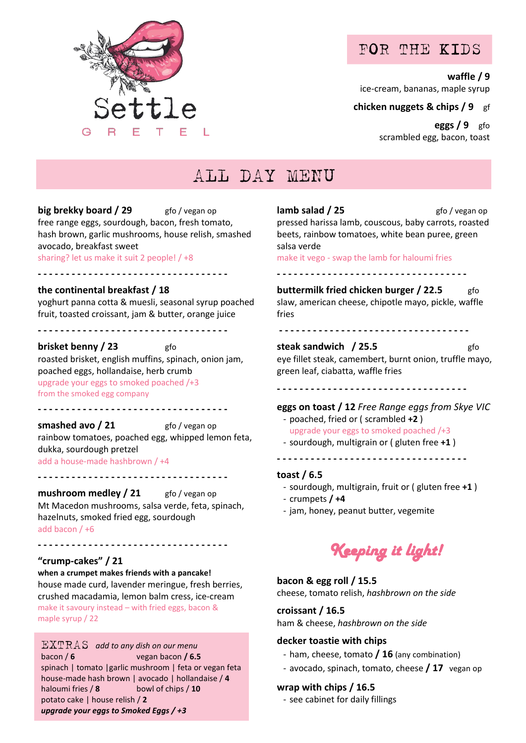

### FOR THE KIDS

**waffle / 9**

ice-cream, bananas, maple syrup

**chicken nuggets & chips / 9** gf

**eggs / 9** gfo scrambled egg, bacon, toast

# ALL DAY MENU

**big brekky board / 29** gfo / vegan op free range eggs, sourdough, bacon, fresh tomato, hash brown, garlic mushrooms, house relish, smashed avocado, breakfast sweet sharing? let us make it suit 2 people! / +8

#### **the continental breakfast / 18**

yoghurt panna cotta & muesli, seasonal syrup poached fruit, toasted croissant, jam & butter, orange juice

**- - - - - - - - - - - - - - - - - - - - - - - - - - - - - - - - - -** 

<u>...................................</u>

**brisket benny / 23** gfo roasted brisket, english muffins, spinach, onion jam, poached eggs, hollandaise, herb crumb upgrade your eggs to smoked poached /+3 from the smoked egg company

<u>-----------------------------------</u>

**- - - - - - - - - - - - - - - - - - - - - - - - - - - - - - - - - -** 

**smashed avo / 21** gfo / vegan op rainbow tomatoes, poached egg, whipped lemon feta, dukka, sourdough pretzel add a house-made hashbrown / +4

**mushroom medley / 21** gfo / vegan op

Mt Macedon mushrooms, salsa verde, feta, spinach, hazelnuts, smoked fried egg, sourdough add bacon / +6

**- - - - - - - - - - - - - - - - - - - - - - - - - - - - - - - - - -** 

**"crump-cakes" / 21**

maple syrup / 22

**when a crumpet makes friends with a pancake!**  house made curd, lavender meringue, fresh berries, crushed macadamia, lemon balm cress, ice-cream make it savoury instead – with fried eggs, bacon &

EXTRAS *add to any dish on our menu* bacon / **6** vegan bacon **/ 6.5** spinach | tomato |garlic mushroom | feta or vegan feta house-made hash brown | avocado | hollandaise / **4** haloumi fries / **8** bowl of chips / **10** potato cake | house relish / **2** *upgrade your eggs to Smoked Eggs / +3*

**lamb salad** / 25 **gfo** / vegan op pressed harissa lamb, couscous, baby carrots, roasted beets, rainbow tomatoes, white bean puree, green salsa verde

make it vego - swap the lamb for haloumi fries

**- - - - - - - - - - - - - - - - - - - - - - - - - - - - - - - - - -** 

**buttermilk fried chicken burger / 22.5** slaw, american cheese, chipotle mayo, pickle, waffle fries

**- - - - - - - - - - - - - - - - - - - - - - - - - - - - - - - - - -** 

### **steak sandwich / 25.5** gfo

eye fillet steak, camembert, burnt onion, truffle mayo, green leaf, ciabatta, waffle fries

**- - - - - - - - - - - - - - - - - - - - - - - - - - - - - - - - - -** 

**eggs on toast / 12** *Free Range eggs from Skye VIC*

- poached, fried or ( scrambled **+2** ) upgrade your eggs to smoked poached /+3
- sourdough, multigrain or ( gluten free **+1** ) **- - - - - - - - - - - - - - - - - - - - - - - - - - - - - - - - - -**

#### **toast / 6.5**

- sourdough, multigrain, fruit or ( gluten free **+1** )
- crumpets **/ +4**
- jam, honey, peanut butter, vegemite



#### **bacon & egg roll / 15.5**

cheese, tomato relish, *hashbrown on the side*

#### **croissant / 16.5**

ham & cheese, *hashbrown on the side*

#### **decker toastie with chips**

- ham, cheese, tomato **/ 16** (any combination)
- avocado, spinach, tomato, cheese **/ 17** vegan op

#### **wrap with chips / 16.5**

- see cabinet for daily fillings